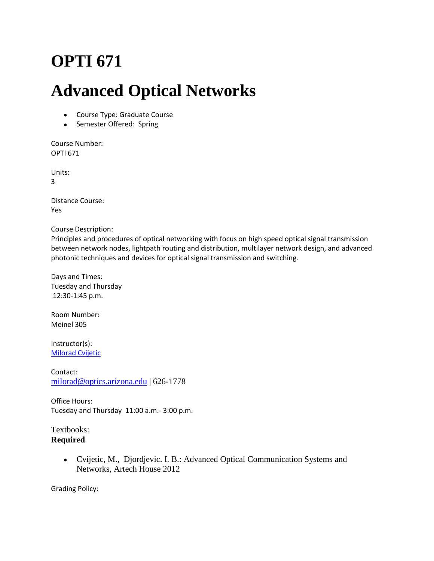# **OPTI 671**

## **Advanced Optical Networks**

- Course Type: Graduate Course
- Semester Offered: Spring

Course Number: OPTI 671

Units:

3

Distance Course: Yes

Course Description:

Principles and procedures of optical networking with focus on high speed optical signal transmission between network nodes, lightpath routing and distribution, multilayer network design, and advanced photonic techniques and devices for optical signal transmission and switching.

Days and Times: Tuesday and Thursday 12:30-1:45 p.m.

Room Number: Meinel 305

Instructor(s): [Milorad Cvijetic](http://www.optics.arizona.edu/research/faculty/profile/milorad-cvijetic)

Contact: [milorad@optics.arizona.edu](mailto:milorad@optics.arizona.edu) | 626-1778

Office Hours: Tuesday and Thursday 11:00 a.m.- 3:00 p.m.

Textbooks: **Required**

> Cvijetic, M., Djordjevic. I. B.: Advanced Optical Communication Systems and Networks, Artech House 2012

Grading Policy: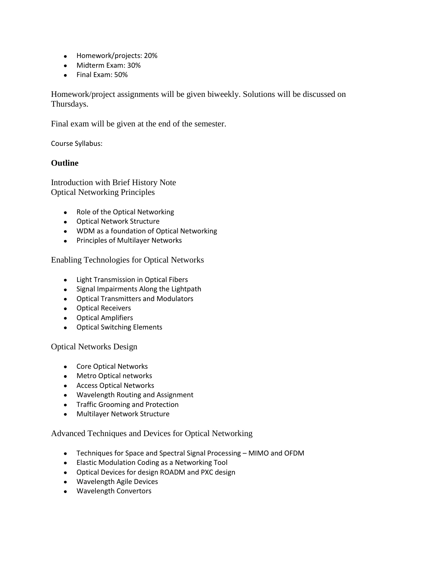- Homework/projects: 20%
- Midterm Exam: 30%
- Final Exam: 50%

Homework/project assignments will be given biweekly. Solutions will be discussed on Thursdays.

Final exam will be given at the end of the semester.

Course Syllabus:

### **Outline**

Introduction with Brief History Note Optical Networking Principles

- Role of the Optical Networking
- Optical Network Structure
- WDM as a foundation of Optical Networking
- Principles of Multilayer Networks

Enabling Technologies for Optical Networks

- **•** Light Transmission in Optical Fibers
- Signal Impairments Along the Lightpath
- Optical Transmitters and Modulators
- Optical Receivers
- Optical Amplifiers
- Optical Switching Elements

Optical Networks Design

- Core Optical Networks
- Metro Optical networks
- Access Optical Networks
- Wavelength Routing and Assignment
- Traffic Grooming and Protection
- Multilayer Network Structure

Advanced Techniques and Devices for Optical Networking

- Techniques for Space and Spectral Signal Processing MIMO and OFDM
- Elastic Modulation Coding as a Networking Tool
- Optical Devices for design ROADM and PXC design
- Wavelength Agile Devices
- Wavelength Convertors